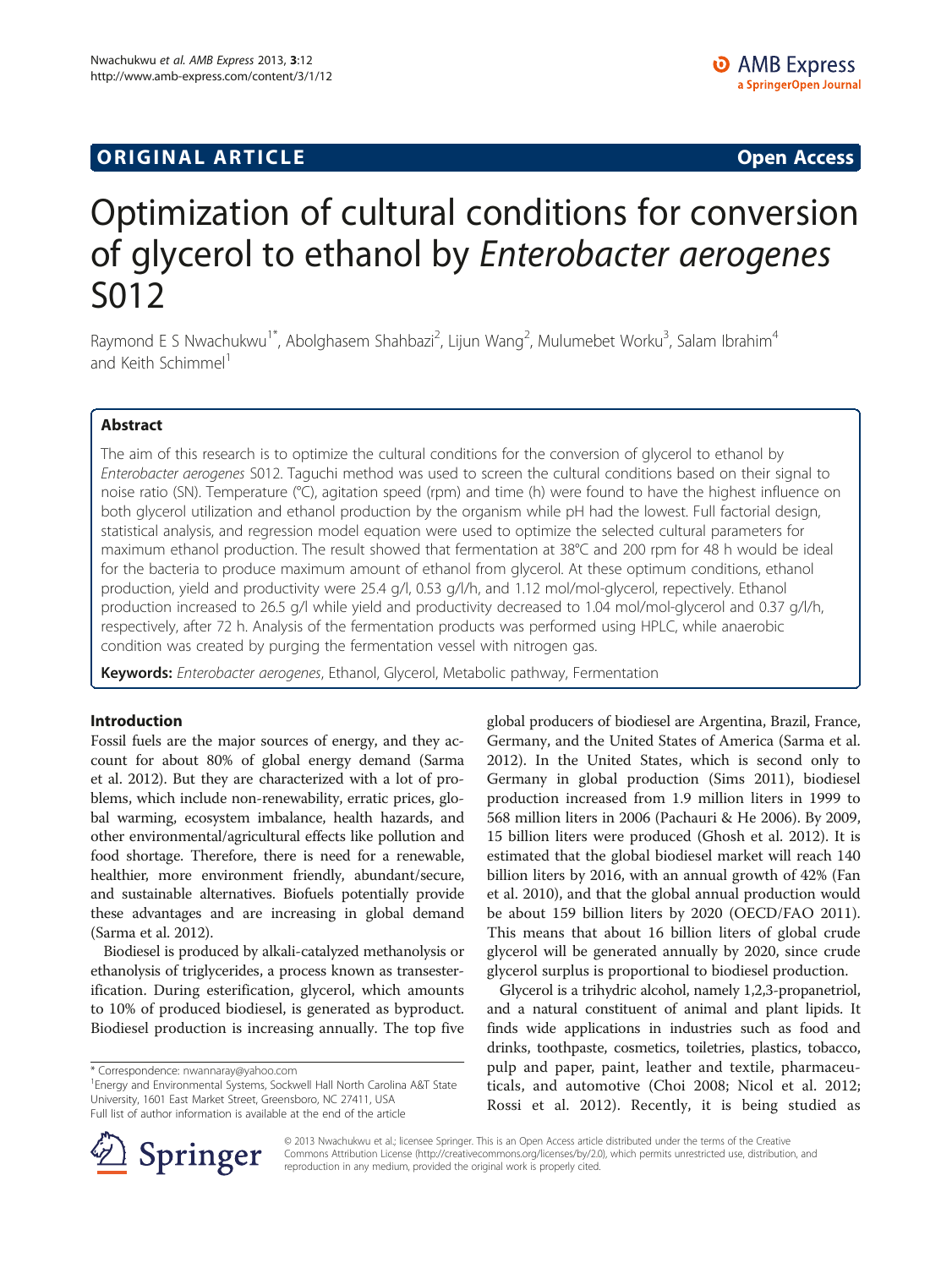# **ORIGINAL ARTICLE CONSUMING A LIGACION CONSUMING A LIGACION CONSUMING A LIGACION**

# Optimization of cultural conditions for conversion of glycerol to ethanol by Enterobacter aerogenes S012

Raymond E S Nwachukwu<sup>1\*</sup>, Abolghasem Shahbazi<sup>2</sup>, Lijun Wang<sup>2</sup>, Mulumebet Worku<sup>3</sup>, Salam Ibrahim<sup>4</sup> and Keith Schimmel<sup>1</sup>

## Abstract

The aim of this research is to optimize the cultural conditions for the conversion of glycerol to ethanol by Enterobacter aerogenes S012. Taguchi method was used to screen the cultural conditions based on their signal to noise ratio (SN). Temperature (°C), agitation speed (rpm) and time (h) were found to have the highest influence on both glycerol utilization and ethanol production by the organism while pH had the lowest. Full factorial design, statistical analysis, and regression model equation were used to optimize the selected cultural parameters for maximum ethanol production. The result showed that fermentation at 38°C and 200 rpm for 48 h would be ideal for the bacteria to produce maximum amount of ethanol from glycerol. At these optimum conditions, ethanol production, yield and productivity were 25.4 g/l, 0.53 g/l/h, and 1.12 mol/mol-glycerol, repectively. Ethanol production increased to 26.5 g/l while yield and productivity decreased to 1.04 mol/mol-glycerol and 0.37 g/l/h, respectively, after 72 h. Analysis of the fermentation products was performed using HPLC, while anaerobic condition was created by purging the fermentation vessel with nitrogen gas.

Keywords: Enterobacter aerogenes, Ethanol, Glycerol, Metabolic pathway, Fermentation

## Introduction

Fossil fuels are the major sources of energy, and they account for about 80% of global energy demand (Sarma et al. [2012](#page-9-0)). But they are characterized with a lot of problems, which include non-renewability, erratic prices, global warming, ecosystem imbalance, health hazards, and other environmental/agricultural effects like pollution and food shortage. Therefore, there is need for a renewable, healthier, more environment friendly, abundant/secure, and sustainable alternatives. Biofuels potentially provide these advantages and are increasing in global demand (Sarma et al. [2012](#page-9-0)).

Biodiesel is produced by alkali-catalyzed methanolysis or ethanolysis of triglycerides, a process known as transesterification. During esterification, glycerol, which amounts to 10% of produced biodiesel, is generated as byproduct. Biodiesel production is increasing annually. The top five

Energy and Environmental Systems, Sockwell Hall North Carolina A&T State University, 1601 East Market Street, Greensboro, NC 27411, USA Full list of author information is available at the end of the article

global producers of biodiesel are Argentina, Brazil, France, Germany, and the United States of America (Sarma et al. [2012](#page-9-0)). In the United States, which is second only to Germany in global production (Sims [2011\)](#page-9-0), biodiesel production increased from 1.9 million liters in 1999 to 568 million liters in 2006 (Pachauri & He [2006\)](#page-8-0). By 2009, 15 billion liters were produced (Ghosh et al. [2012](#page-8-0)). It is estimated that the global biodiesel market will reach 140 billion liters by 2016, with an annual growth of 42% (Fan et al. [2010\)](#page-8-0), and that the global annual production would be about 159 billion liters by 2020 (OECD/FAO [2011](#page-8-0)). This means that about 16 billion liters of global crude glycerol will be generated annually by 2020, since crude glycerol surplus is proportional to biodiesel production.

Glycerol is a trihydric alcohol, namely 1,2,3-propanetriol, and a natural constituent of animal and plant lipids. It finds wide applications in industries such as food and drinks, toothpaste, cosmetics, toiletries, plastics, tobacco, pulp and paper, paint, leather and textile, pharmaceuticals, and automotive (Choi [2008](#page-8-0); Nicol et al. [2012](#page-8-0); Rossi et al. [2012\)](#page-8-0). Recently, it is being studied as



© 2013 Nwachukwu et al.; licensee Springer. This is an Open Access article distributed under the terms of the Creative Commons Attribution License (<http://creativecommons.org/licenses/by/2.0>), which permits unrestricted use, distribution, and reproduction in any medium, provided the original work is properly cited.

<sup>\*</sup> Correspondence: [nwannaray@yahoo.com](mailto:nwannaray@yahoo.com) <sup>1</sup>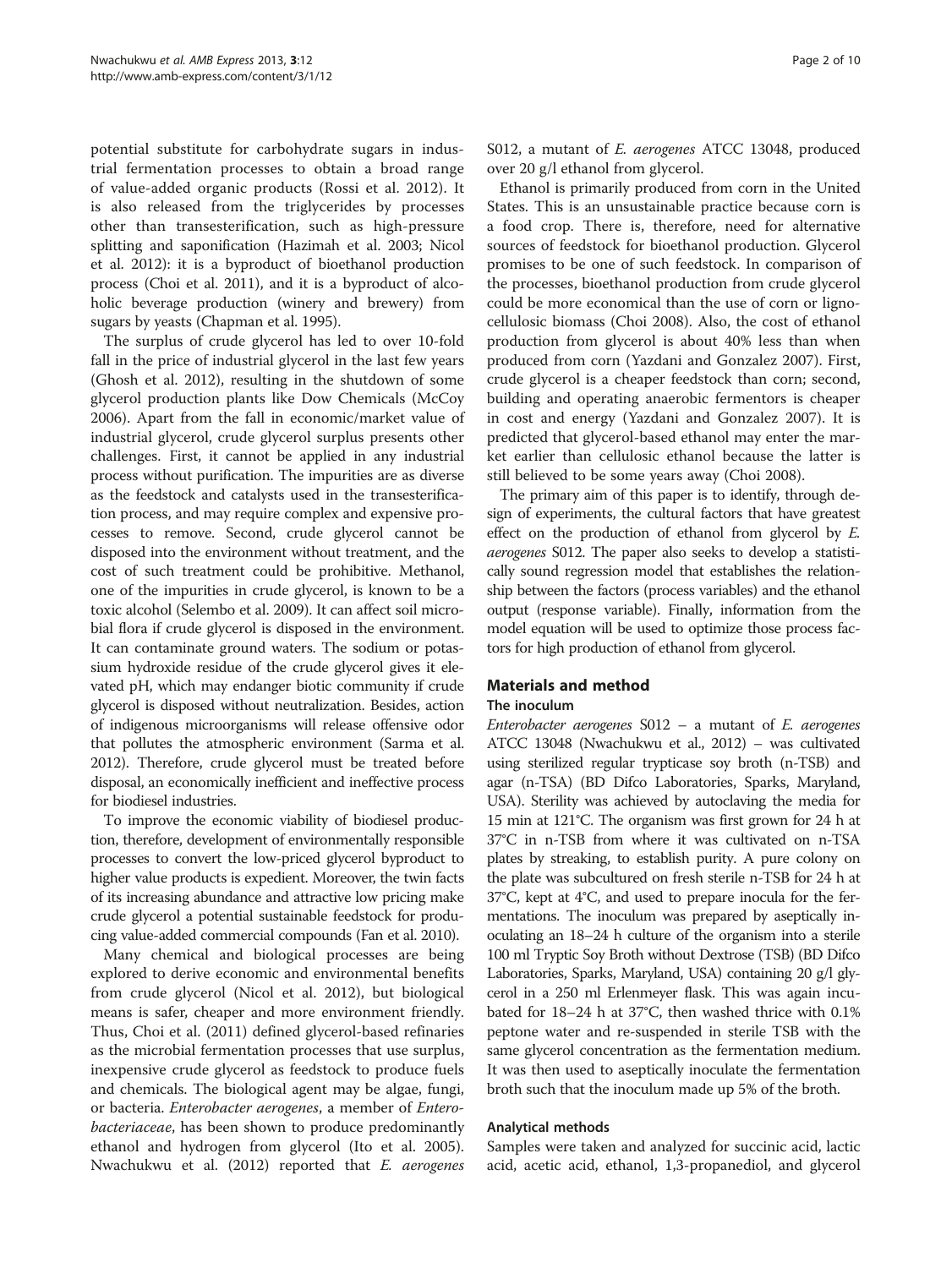potential substitute for carbohydrate sugars in industrial fermentation processes to obtain a broad range of value-added organic products (Rossi et al. [2012](#page-8-0)). It is also released from the triglycerides by processes other than transesterification, such as high-pressure splitting and saponification (Hazimah et al. [2003](#page-8-0); Nicol et al. [2012](#page-8-0)): it is a byproduct of bioethanol production process (Choi et al. [2011\)](#page-8-0), and it is a byproduct of alcoholic beverage production (winery and brewery) from sugars by yeasts (Chapman et al. [1995](#page-8-0)).

The surplus of crude glycerol has led to over 10-fold fall in the price of industrial glycerol in the last few years (Ghosh et al. [2012](#page-8-0)), resulting in the shutdown of some glycerol production plants like Dow Chemicals (McCoy [2006](#page-8-0)). Apart from the fall in economic/market value of industrial glycerol, crude glycerol surplus presents other challenges. First, it cannot be applied in any industrial process without purification. The impurities are as diverse as the feedstock and catalysts used in the transesterification process, and may require complex and expensive processes to remove. Second, crude glycerol cannot be disposed into the environment without treatment, and the cost of such treatment could be prohibitive. Methanol, one of the impurities in crude glycerol, is known to be a toxic alcohol (Selembo et al. [2009](#page-9-0)). It can affect soil microbial flora if crude glycerol is disposed in the environment. It can contaminate ground waters. The sodium or potassium hydroxide residue of the crude glycerol gives it elevated pH, which may endanger biotic community if crude glycerol is disposed without neutralization. Besides, action of indigenous microorganisms will release offensive odor that pollutes the atmospheric environment (Sarma et al. [2012\)](#page-9-0). Therefore, crude glycerol must be treated before disposal, an economically inefficient and ineffective process for biodiesel industries.

To improve the economic viability of biodiesel production, therefore, development of environmentally responsible processes to convert the low-priced glycerol byproduct to higher value products is expedient. Moreover, the twin facts of its increasing abundance and attractive low pricing make crude glycerol a potential sustainable feedstock for producing value-added commercial compounds (Fan et al. [2010](#page-8-0)).

Many chemical and biological processes are being explored to derive economic and environmental benefits from crude glycerol (Nicol et al. [2012\)](#page-8-0), but biological means is safer, cheaper and more environment friendly. Thus, Choi et al. [\(2011\)](#page-8-0) defined glycerol-based refinaries as the microbial fermentation processes that use surplus, inexpensive crude glycerol as feedstock to produce fuels and chemicals. The biological agent may be algae, fungi, or bacteria. Enterobacter aerogenes, a member of Enterobacteriaceae, has been shown to produce predominantly ethanol and hydrogen from glycerol (Ito et al. [2005](#page-8-0)). Nwachukwu et al. ([2012](#page-8-0)) reported that E. aerogenes S012, a mutant of E. aerogenes ATCC 13048, produced over 20 g/l ethanol from glycerol.

Ethanol is primarily produced from corn in the United States. This is an unsustainable practice because corn is a food crop. There is, therefore, need for alternative sources of feedstock for bioethanol production. Glycerol promises to be one of such feedstock. In comparison of the processes, bioethanol production from crude glycerol could be more economical than the use of corn or lignocellulosic biomass (Choi [2008\)](#page-8-0). Also, the cost of ethanol production from glycerol is about 40% less than when produced from corn (Yazdani and Gonzalez [2007](#page-9-0)). First, crude glycerol is a cheaper feedstock than corn; second, building and operating anaerobic fermentors is cheaper in cost and energy (Yazdani and Gonzalez [2007](#page-9-0)). It is predicted that glycerol-based ethanol may enter the market earlier than cellulosic ethanol because the latter is still believed to be some years away (Choi [2008\)](#page-8-0).

The primary aim of this paper is to identify, through design of experiments, the cultural factors that have greatest effect on the production of ethanol from glycerol by  $E$ . aerogenes S012. The paper also seeks to develop a statistically sound regression model that establishes the relationship between the factors (process variables) and the ethanol output (response variable). Finally, information from the model equation will be used to optimize those process factors for high production of ethanol from glycerol.

## Materials and method

## The inoculum

Enterobacter aerogenes S012 – a mutant of E. aerogenes ATCC 13048 (Nwachukwu et al., [2012](#page-8-0)) – was cultivated using sterilized regular trypticase soy broth (n-TSB) and agar (n-TSA) (BD Difco Laboratories, Sparks, Maryland, USA). Sterility was achieved by autoclaving the media for 15 min at 121°C. The organism was first grown for 24 h at 37°C in n-TSB from where it was cultivated on n-TSA plates by streaking, to establish purity. A pure colony on the plate was subcultured on fresh sterile n-TSB for 24 h at 37°C, kept at 4°C, and used to prepare inocula for the fermentations. The inoculum was prepared by aseptically inoculating an 18–24 h culture of the organism into a sterile 100 ml Tryptic Soy Broth without Dextrose (TSB) (BD Difco Laboratories, Sparks, Maryland, USA) containing 20 g/l glycerol in a 250 ml Erlenmeyer flask. This was again incubated for 18–24 h at 37°C, then washed thrice with 0.1% peptone water and re-suspended in sterile TSB with the same glycerol concentration as the fermentation medium. It was then used to aseptically inoculate the fermentation broth such that the inoculum made up 5% of the broth.

## Analytical methods

Samples were taken and analyzed for succinic acid, lactic acid, acetic acid, ethanol, 1,3-propanediol, and glycerol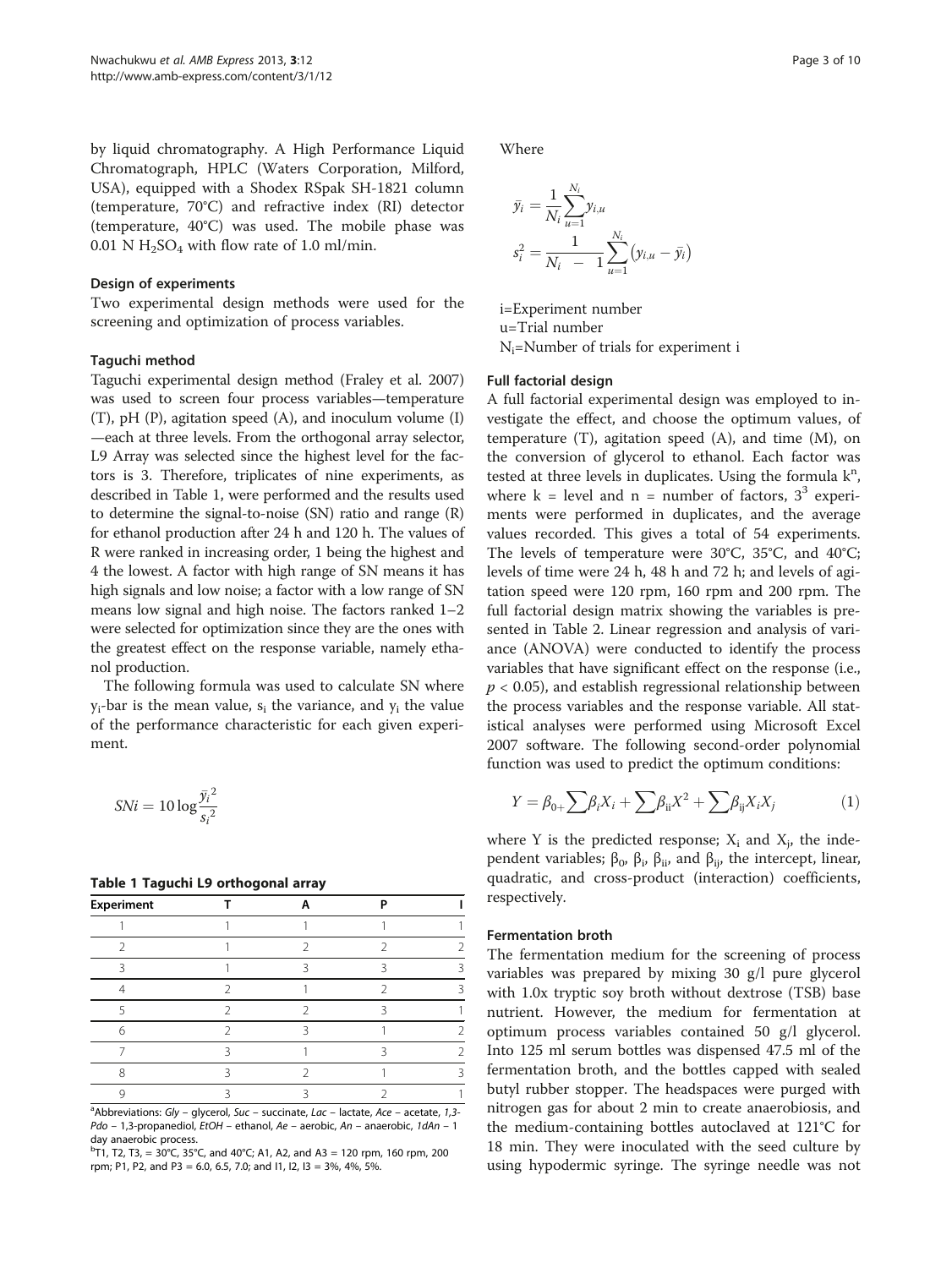by liquid chromatography. A High Performance Liquid Chromatograph, HPLC (Waters Corporation, Milford, USA), equipped with a Shodex RSpak SH-1821 column (temperature, 70°C) and refractive index (RI) detector (temperature, 40°C) was used. The mobile phase was 0.01 N  $H_2SO_4$  with flow rate of 1.0 ml/min.

#### Design of experiments

Two experimental design methods were used for the screening and optimization of process variables.

## Taguchi method

Taguchi experimental design method (Fraley et al. [2007](#page-8-0)) was used to screen four process variables—temperature (T), pH (P), agitation speed (A), and inoculum volume (I) —each at three levels. From the orthogonal array selector, L9 Array was selected since the highest level for the factors is 3. Therefore, triplicates of nine experiments, as described in Table 1, were performed and the results used to determine the signal-to-noise (SN) ratio and range (R) for ethanol production after 24 h and 120 h. The values of R were ranked in increasing order, 1 being the highest and 4 the lowest. A factor with high range of SN means it has high signals and low noise; a factor with a low range of SN means low signal and high noise. The factors ranked 1–2 were selected for optimization since they are the ones with the greatest effect on the response variable, namely ethanol production.

The following formula was used to calculate SN where  $y_i$ -bar is the mean value,  $s_i$  the variance, and  $y_i$  the value of the performance characteristic for each given experiment.

$$
SNi = 10 \log \frac{\bar{y_i}^2}{s_i^2}
$$

#### Table 1 Taguchi L9 orthogonal array

| <b>Experiment</b> |  | D |  |
|-------------------|--|---|--|
|                   |  |   |  |
|                   |  |   |  |
|                   |  |   |  |
|                   |  |   |  |
|                   |  |   |  |
| 6                 |  |   |  |
|                   |  |   |  |
| Я                 |  |   |  |
|                   |  |   |  |

<sup>a</sup>Abbreviations: Gly – glycerol, Suc – succinate, Lac – lactate, Ace – acetate, 1,3-Pdo – 1,3-propanediol, EtOH – ethanol, Ae – aerobic, An – anaerobic, 1dAn – 1 day anaerobic process.

 ${}^{b}$ T1, T2, T3, = 30°C, 35°C, and 40°C; A1, A2, and A3 = 120 rpm, 160 rpm, 200 rpm; P1, P2, and P3 = 6.0, 6.5, 7.0; and I1, I2, I3 = 3%, 4%, 5%.

Where

$$
\bar{y}_i = \frac{1}{N_i} \sum_{u=1}^{N_i} y_{i,u}
$$

$$
s_i^2 = \frac{1}{N_i - 1} \sum_{u=1}^{N_i} (y_{i,u} - \bar{y}_i)
$$

i=Experiment number u=Trial number  $N_i$ =Number of trials for experiment i

#### Full factorial design

A full factorial experimental design was employed to investigate the effect, and choose the optimum values, of temperature  $(T)$ , agitation speed  $(A)$ , and time  $(M)$ , on the conversion of glycerol to ethanol. Each factor was tested at three levels in duplicates. Using the formula  $k^n$ , where  $k =$  level and  $n =$  number of factors,  $3<sup>3</sup>$  experiments were performed in duplicates, and the average values recorded. This gives a total of 54 experiments. The levels of temperature were 30°C, 35°C, and 40°C; levels of time were 24 h, 48 h and 72 h; and levels of agitation speed were 120 rpm, 160 rpm and 200 rpm. The full factorial design matrix showing the variables is presented in Table [2.](#page-3-0) Linear regression and analysis of variance (ANOVA) were conducted to identify the process variables that have significant effect on the response (i.e.,  $p < 0.05$ ), and establish regressional relationship between the process variables and the response variable. All statistical analyses were performed using Microsoft Excel 2007 software. The following second-order polynomial function was used to predict the optimum conditions:

$$
Y = \beta_{0+} \sum \beta_i X_i + \sum \beta_{ii} X^2 + \sum \beta_{ij} X_i X_j \tag{1}
$$

where Y is the predicted response;  $X_i$  and  $X_i$ , the independent variables;  $β_0$ ,  $β_i$ ,  $β_{ii}$ , and  $β_{ii}$ , the intercept, linear, quadratic, and cross-product (interaction) coefficients, respectively.

#### Fermentation broth

The fermentation medium for the screening of process variables was prepared by mixing 30 g/l pure glycerol with 1.0x tryptic soy broth without dextrose (TSB) base nutrient. However, the medium for fermentation at optimum process variables contained 50 g/l glycerol. Into 125 ml serum bottles was dispensed 47.5 ml of the fermentation broth, and the bottles capped with sealed butyl rubber stopper. The headspaces were purged with nitrogen gas for about 2 min to create anaerobiosis, and the medium-containing bottles autoclaved at 121°C for 18 min. They were inoculated with the seed culture by using hypodermic syringe. The syringe needle was not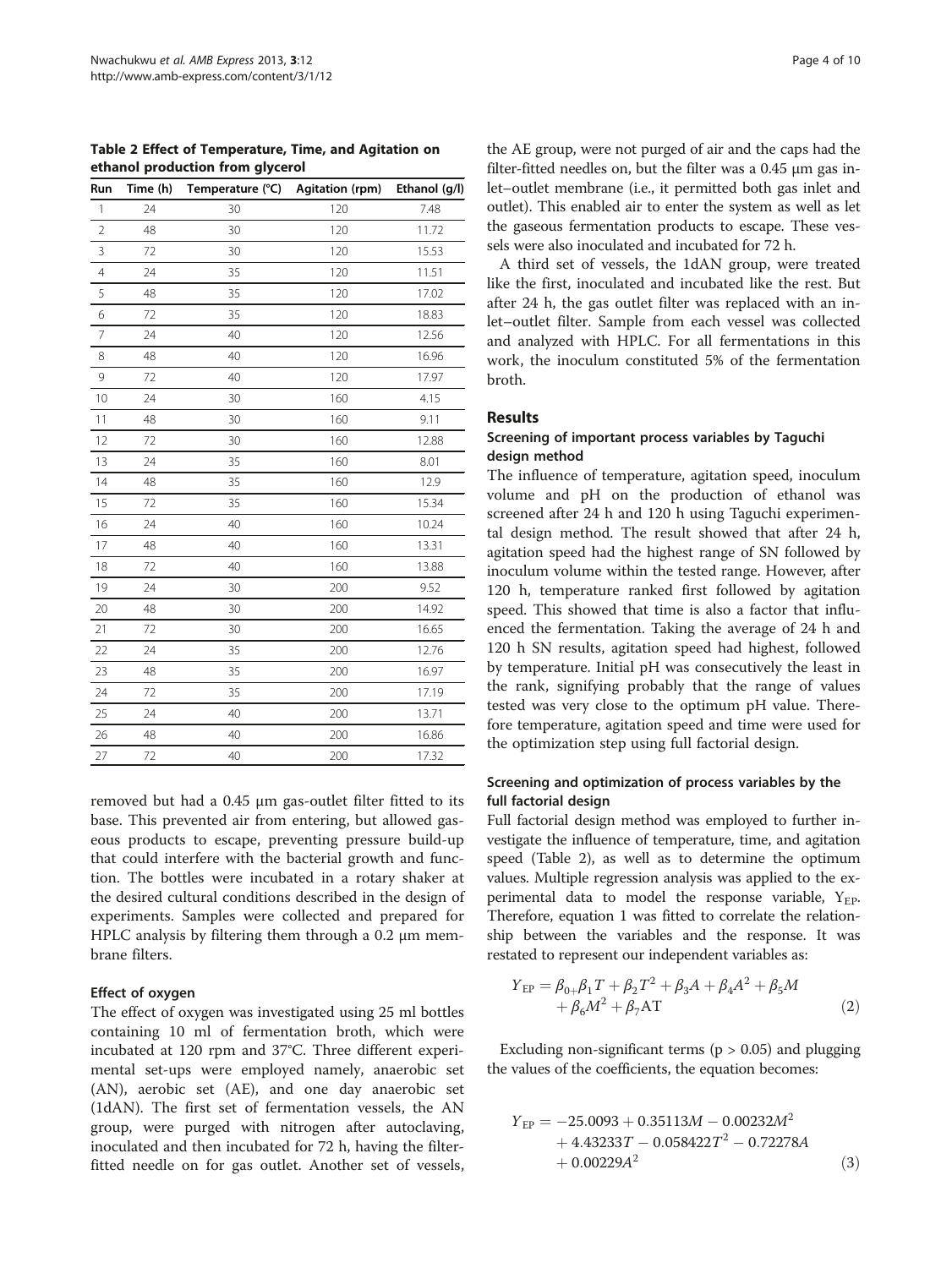<span id="page-3-0"></span>Table 2 Effect of Temperature, Time, and Agitation on ethanol production from glycerol

| Run            | Time (h) | Temperature (°C) | Agitation (rpm) | Ethanol (g/l) |
|----------------|----------|------------------|-----------------|---------------|
| $\mathbf{1}$   | 24       | 30               | 120             | 7.48          |
| $\overline{2}$ | 48       | 30               | 120             | 11.72         |
| 3              | 72       | 30               | 120             | 15.53         |
| $\overline{4}$ | 24       | 35               | 120             | 11.51         |
| 5              | 48       | 35               | 120             | 17.02         |
| 6              | 72       | 35               | 120             | 18.83         |
| $\overline{7}$ | 24       | 40               | 120             | 12.56         |
| 8              | 48       | 40               | 120             | 16.96         |
| 9              | 72       | 40               | 120             | 17.97         |
| 10             | 24       | 30               | 160             | 4.15          |
| 11             | 48       | 30               | 160             | 9.11          |
| 12             | 72       | 30               | 160             | 12.88         |
| 13             | 24       | 35               | 160             | 8.01          |
| 14             | 48       | 35               | 160             | 12.9          |
| 15             | 72       | 35               | 160             | 15.34         |
| 16             | 24       | 40               | 160             | 10.24         |
| 17             | 48       | 40               | 160             | 13.31         |
| 18             | 72       | 40               | 160             | 13.88         |
| 19             | 24       | 30               | 200             | 9.52          |
| 20             | 48       | 30               | 200             | 14.92         |
| 21             | 72       | 30               | 200             | 16.65         |
| 22             | 24       | 35               | 200             | 12.76         |
| 23             | 48       | 35               | 200             | 16.97         |
| 24             | 72       | 35               | 200             | 17.19         |
| 25             | 24       | 40               | 200             | 13.71         |
| 26             | 48       | 40               | 200             | 16.86         |
| 27             | 72       | 40               | 200             | 17.32         |

removed but had a 0.45 μm gas-outlet filter fitted to its base. This prevented air from entering, but allowed gaseous products to escape, preventing pressure build-up that could interfere with the bacterial growth and function. The bottles were incubated in a rotary shaker at the desired cultural conditions described in the design of experiments. Samples were collected and prepared for HPLC analysis by filtering them through a 0.2 μm membrane filters.

## Effect of oxygen

The effect of oxygen was investigated using 25 ml bottles containing 10 ml of fermentation broth, which were incubated at 120 rpm and 37°C. Three different experimental set-ups were employed namely, anaerobic set (AN), aerobic set (AE), and one day anaerobic set (1dAN). The first set of fermentation vessels, the AN group, were purged with nitrogen after autoclaving, inoculated and then incubated for 72 h, having the filterfitted needle on for gas outlet. Another set of vessels,

the AE group, were not purged of air and the caps had the filter-fitted needles on, but the filter was a 0.45 μm gas inlet–outlet membrane (i.e., it permitted both gas inlet and outlet). This enabled air to enter the system as well as let the gaseous fermentation products to escape. These vessels were also inoculated and incubated for 72 h.

A third set of vessels, the 1dAN group, were treated like the first, inoculated and incubated like the rest. But after 24 h, the gas outlet filter was replaced with an inlet–outlet filter. Sample from each vessel was collected and analyzed with HPLC. For all fermentations in this work, the inoculum constituted 5% of the fermentation broth.

### Results

## Screening of important process variables by Taguchi design method

The influence of temperature, agitation speed, inoculum volume and pH on the production of ethanol was screened after 24 h and 120 h using Taguchi experimental design method. The result showed that after 24 h, agitation speed had the highest range of SN followed by inoculum volume within the tested range. However, after 120 h, temperature ranked first followed by agitation speed. This showed that time is also a factor that influenced the fermentation. Taking the average of 24 h and 120 h SN results, agitation speed had highest, followed by temperature. Initial pH was consecutively the least in the rank, signifying probably that the range of values tested was very close to the optimum pH value. Therefore temperature, agitation speed and time were used for the optimization step using full factorial design.

## Screening and optimization of process variables by the full factorial design

Full factorial design method was employed to further investigate the influence of temperature, time, and agitation speed (Table 2), as well as to determine the optimum values. Multiple regression analysis was applied to the experimental data to model the response variable,  $Y_{EP}$ . Therefore, equation 1 was fitted to correlate the relationship between the variables and the response. It was restated to represent our independent variables as:

$$
Y_{EP} = \beta_{0+} \beta_1 T + \beta_2 T^2 + \beta_3 A + \beta_4 A^2 + \beta_5 M + \beta_6 M^2 + \beta_7 A T
$$
 (2)

Excluding non-significant terms ( $p > 0.05$ ) and plugging the values of the coefficients, the equation becomes:

$$
Y_{EP} = -25.0093 + 0.35113M - 0.00232M^{2} + 4.43233T - 0.058422T^{2} - 0.72278A + 0.00229A^{2}
$$
 (3)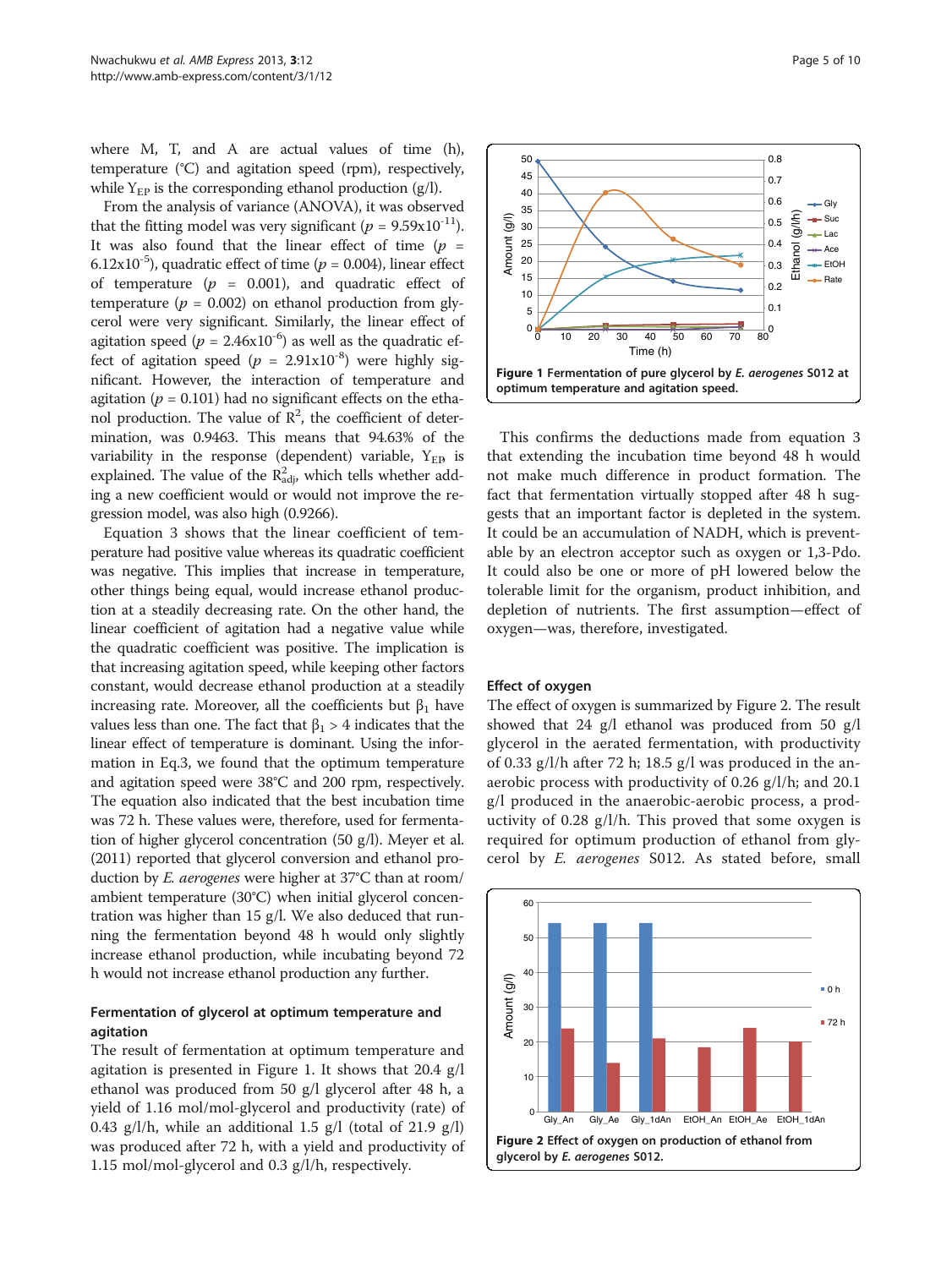<span id="page-4-0"></span>where M, T, and A are actual values of time (h), temperature (°C) and agitation speed (rpm), respectively, while  $Y_{EP}$  is the corresponding ethanol production (g/l).

From the analysis of variance (ANOVA), it was observed that the fitting model was very significant ( $p = 9.59 \times 10^{-11}$ ). It was also found that the linear effect of time  $(p =$ 6.12x10<sup>-5</sup>), quadratic effect of time ( $p = 0.004$ ), linear effect of temperature  $(p = 0.001)$ , and quadratic effect of temperature ( $p = 0.002$ ) on ethanol production from glycerol were very significant. Similarly, the linear effect of agitation speed ( $p = 2.46 \times 10^{-6}$ ) as well as the quadratic effect of agitation speed ( $p = 2.91 \times 10^{-8}$ ) were highly significant. However, the interaction of temperature and agitation ( $p = 0.101$ ) had no significant effects on the ethanol production. The value of  $\mathbb{R}^2$ , the coefficient of determination, was 0.9463. This means that 94.63% of the variability in the response (dependent) variable,  $Y_{ED}$  is explained. The value of the  $R_{\text{adj}}^2$ , which tells whether adding a new coefficient would or would not improve the regression model, was also high (0.9266).

Equation 3 shows that the linear coefficient of temperature had positive value whereas its quadratic coefficient was negative. This implies that increase in temperature, other things being equal, would increase ethanol production at a steadily decreasing rate. On the other hand, the linear coefficient of agitation had a negative value while the quadratic coefficient was positive. The implication is that increasing agitation speed, while keeping other factors constant, would decrease ethanol production at a steadily increasing rate. Moreover, all the coefficients but  $\beta_1$  have values less than one. The fact that  $β_1 > 4$  indicates that the linear effect of temperature is dominant. Using the information in Eq.3, we found that the optimum temperature and agitation speed were 38°C and 200 rpm, respectively. The equation also indicated that the best incubation time was 72 h. These values were, therefore, used for fermentation of higher glycerol concentration (50 g/l). Meyer et al. ([2011\)](#page-8-0) reported that glycerol conversion and ethanol production by E. aerogenes were higher at 37°C than at room/ ambient temperature (30°C) when initial glycerol concentration was higher than 15 g/l. We also deduced that running the fermentation beyond 48 h would only slightly increase ethanol production, while incubating beyond 72 h would not increase ethanol production any further.

## Fermentation of glycerol at optimum temperature and agitation

The result of fermentation at optimum temperature and agitation is presented in Figure 1. It shows that 20.4 g/l ethanol was produced from 50 g/l glycerol after 48 h, a yield of 1.16 mol/mol-glycerol and productivity (rate) of 0.43 g/l/h, while an additional 1.5 g/l (total of 21.9 g/l) was produced after 72 h, with a yield and productivity of 1.15 mol/mol-glycerol and 0.3 g/l/h, respectively.



This confirms the deductions made from equation 3 that extending the incubation time beyond 48 h would not make much difference in product formation. The fact that fermentation virtually stopped after 48 h suggests that an important factor is depleted in the system. It could be an accumulation of NADH, which is preventable by an electron acceptor such as oxygen or 1,3-Pdo. It could also be one or more of pH lowered below the tolerable limit for the organism, product inhibition, and depletion of nutrients. The first assumption—effect of oxygen—was, therefore, investigated.

#### Effect of oxygen

The effect of oxygen is summarized by Figure 2. The result showed that 24 g/l ethanol was produced from 50 g/l glycerol in the aerated fermentation, with productivity of 0.33 g/l/h after 72 h; 18.5 g/l was produced in the anaerobic process with productivity of 0.26 g/l/h; and 20.1 g/l produced in the anaerobic-aerobic process, a productivity of 0.28 g/l/h. This proved that some oxygen is required for optimum production of ethanol from glycerol by E. aerogenes S012. As stated before, small

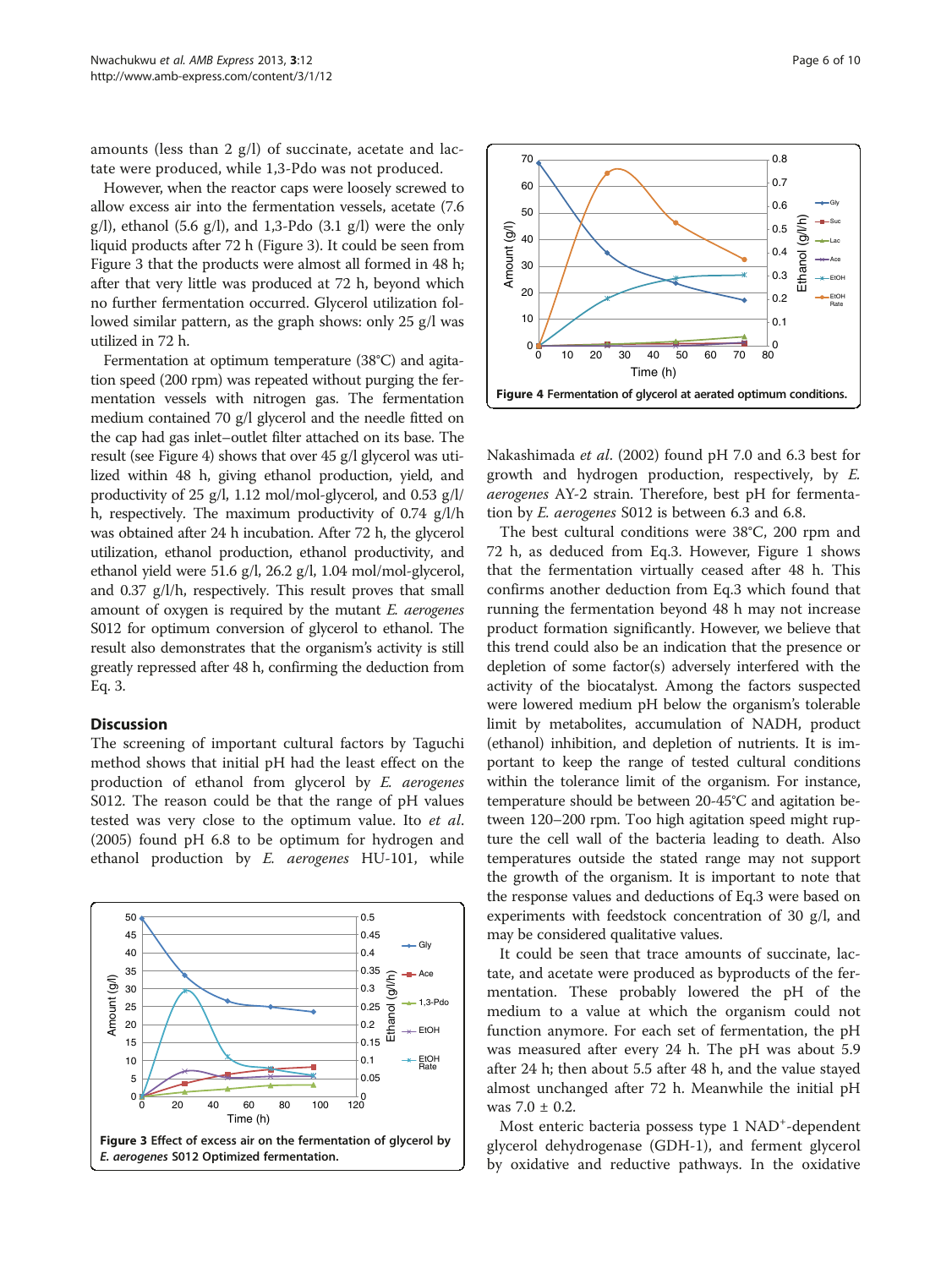<span id="page-5-0"></span>amounts (less than 2 g/l) of succinate, acetate and lactate were produced, while 1,3-Pdo was not produced.

However, when the reactor caps were loosely screwed to allow excess air into the fermentation vessels, acetate (7.6  $g(1)$ , ethanol (5.6  $g(1)$ , and 1,3-Pdo (3.1  $g(1)$ ) were the only liquid products after 72 h (Figure 3). It could be seen from Figure 3 that the products were almost all formed in 48 h; after that very little was produced at 72 h, beyond which no further fermentation occurred. Glycerol utilization followed similar pattern, as the graph shows: only 25 g/l was utilized in 72 h.

Fermentation at optimum temperature (38°C) and agitation speed (200 rpm) was repeated without purging the fermentation vessels with nitrogen gas. The fermentation medium contained 70 g/l glycerol and the needle fitted on the cap had gas inlet–outlet filter attached on its base. The result (see Figure 4) shows that over 45 g/l glycerol was utilized within 48 h, giving ethanol production, yield, and productivity of 25 g/l, 1.12 mol/mol-glycerol, and 0.53 g/l/ h, respectively. The maximum productivity of 0.74 g/l/h was obtained after 24 h incubation. After 72 h, the glycerol utilization, ethanol production, ethanol productivity, and ethanol yield were 51.6 g/l, 26.2 g/l, 1.04 mol/mol-glycerol, and 0.37 g/l/h, respectively. This result proves that small amount of oxygen is required by the mutant  $E$ . aerogenes S012 for optimum conversion of glycerol to ethanol. The result also demonstrates that the organism's activity is still greatly repressed after 48 h, confirming the deduction from Eq. 3.

#### **Discussion**

The screening of important cultural factors by Taguchi method shows that initial pH had the least effect on the production of ethanol from glycerol by E. aerogenes S012. The reason could be that the range of pH values tested was very close to the optimum value. Ito et al. ([2005](#page-8-0)) found pH 6.8 to be optimum for hydrogen and ethanol production by E. aerogenes HU-101, while





Nakashimada et al. ([2002\)](#page-8-0) found pH 7.0 and 6.3 best for growth and hydrogen production, respectively, by E. aerogenes AY-2 strain. Therefore, best pH for fermentation by E. aerogenes S012 is between 6.3 and 6.8.

The best cultural conditions were 38°C, 200 rpm and 72 h, as deduced from Eq.3. However, Figure [1](#page-4-0) shows that the fermentation virtually ceased after 48 h. This confirms another deduction from Eq.3 which found that running the fermentation beyond 48 h may not increase product formation significantly. However, we believe that this trend could also be an indication that the presence or depletion of some factor(s) adversely interfered with the activity of the biocatalyst. Among the factors suspected were lowered medium pH below the organism's tolerable limit by metabolites, accumulation of NADH, product (ethanol) inhibition, and depletion of nutrients. It is important to keep the range of tested cultural conditions within the tolerance limit of the organism. For instance, temperature should be between 20-45°C and agitation between 120–200 rpm. Too high agitation speed might rupture the cell wall of the bacteria leading to death. Also temperatures outside the stated range may not support the growth of the organism. It is important to note that the response values and deductions of Eq.3 were based on experiments with feedstock concentration of 30 g/l, and may be considered qualitative values.

It could be seen that trace amounts of succinate, lactate, and acetate were produced as byproducts of the fermentation. These probably lowered the pH of the medium to a value at which the organism could not function anymore. For each set of fermentation, the pH was measured after every 24 h. The pH was about 5.9 after 24 h; then about 5.5 after 48 h, and the value stayed almost unchanged after 72 h. Meanwhile the initial pH was  $7.0 \pm 0.2$ .

Most enteric bacteria possess type 1 NAD<sup>+</sup>-dependent glycerol dehydrogenase (GDH-1), and ferment glycerol by oxidative and reductive pathways. In the oxidative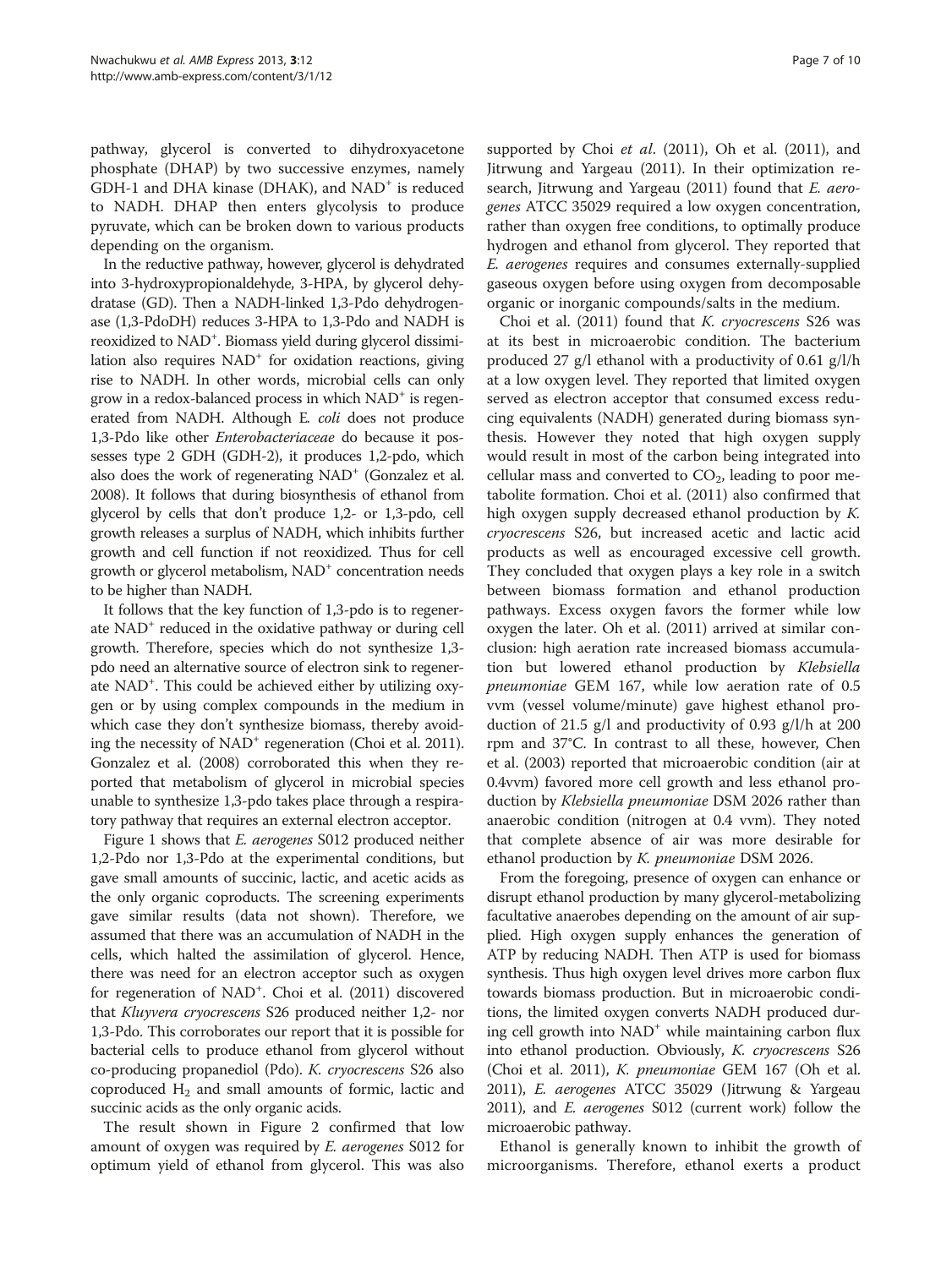pathway, glycerol is converted to dihydroxyacetone phosphate (DHAP) by two successive enzymes, namely GDH-1 and DHA kinase (DHAK), and  $NAD<sup>+</sup>$  is reduced to NADH. DHAP then enters glycolysis to produce pyruvate, which can be broken down to various products depending on the organism.

In the reductive pathway, however, glycerol is dehydrated into 3-hydroxypropionaldehyde, 3-HPA, by glycerol dehydratase (GD). Then a NADH-linked 1,3-Pdo dehydrogenase (1,3-PdoDH) reduces 3-HPA to 1,3-Pdo and NADH is reoxidized to NAD<sup>+</sup>. Biomass yield during glycerol dissimilation also requires  $NAD<sup>+</sup>$  for oxidation reactions, giving rise to NADH. In other words, microbial cells can only grow in a redox-balanced process in which  $NAD<sup>+</sup>$  is regenerated from NADH. Although E. coli does not produce 1,3-Pdo like other Enterobacteriaceae do because it possesses type 2 GDH (GDH-2), it produces 1,2-pdo, which also does the work of regenerating NAD<sup>+</sup> (Gonzalez et al. [2008\)](#page-8-0). It follows that during biosynthesis of ethanol from glycerol by cells that don't produce 1,2- or 1,3-pdo, cell growth releases a surplus of NADH, which inhibits further growth and cell function if not reoxidized. Thus for cell growth or glycerol metabolism, NAD<sup>+</sup> concentration needs to be higher than NADH.

It follows that the key function of 1,3-pdo is to regenerate NAD<sup>+</sup> reduced in the oxidative pathway or during cell growth. Therefore, species which do not synthesize 1,3 pdo need an alternative source of electron sink to regenerate NAD<sup>+</sup>. This could be achieved either by utilizing oxygen or by using complex compounds in the medium in which case they don't synthesize biomass, thereby avoid-ing the necessity of NAD<sup>+</sup> regeneration (Choi et al. [2011](#page-8-0)). Gonzalez et al. ([2008\)](#page-8-0) corroborated this when they reported that metabolism of glycerol in microbial species unable to synthesize 1,3-pdo takes place through a respiratory pathway that requires an external electron acceptor.

Figure [1](#page-4-0) shows that E. aerogenes S012 produced neither 1,2-Pdo nor 1,3-Pdo at the experimental conditions, but gave small amounts of succinic, lactic, and acetic acids as the only organic coproducts. The screening experiments gave similar results (data not shown). Therefore, we assumed that there was an accumulation of NADH in the cells, which halted the assimilation of glycerol. Hence, there was need for an electron acceptor such as oxygen for regeneration of NAD<sup>+</sup>. Choi et al. ([2011\)](#page-8-0) discovered that Kluyvera cryocrescens S26 produced neither 1,2- nor 1,3-Pdo. This corroborates our report that it is possible for bacterial cells to produce ethanol from glycerol without co-producing propanediol (Pdo). K. cryocrescens S26 also coproduced  $H_2$  and small amounts of formic, lactic and succinic acids as the only organic acids.

The result shown in Figure [2](#page-4-0) confirmed that low amount of oxygen was required by E. aerogenes S012 for optimum yield of ethanol from glycerol. This was also

supported by Choi et al.  $(2011)$ , Oh et al.  $(2011)$ , and Jitrwung and Yargeau ([2011](#page-8-0)). In their optimization re-search, Jitrwung and Yargeau ([2011](#page-8-0)) found that *E. aero*genes ATCC 35029 required a low oxygen concentration, rather than oxygen free conditions, to optimally produce hydrogen and ethanol from glycerol. They reported that E. aerogenes requires and consumes externally-supplied gaseous oxygen before using oxygen from decomposable organic or inorganic compounds/salts in the medium.

Choi et al. [\(2011\)](#page-8-0) found that K. cryocrescens S26 was at its best in microaerobic condition. The bacterium produced 27 g/l ethanol with a productivity of 0.61 g/l/h at a low oxygen level. They reported that limited oxygen served as electron acceptor that consumed excess reducing equivalents (NADH) generated during biomass synthesis. However they noted that high oxygen supply would result in most of the carbon being integrated into cellular mass and converted to  $CO<sub>2</sub>$ , leading to poor metabolite formation. Choi et al. ([2011](#page-8-0)) also confirmed that high oxygen supply decreased ethanol production by K. cryocrescens S26, but increased acetic and lactic acid products as well as encouraged excessive cell growth. They concluded that oxygen plays a key role in a switch between biomass formation and ethanol production pathways. Excess oxygen favors the former while low oxygen the later. Oh et al. ([2011\)](#page-8-0) arrived at similar conclusion: high aeration rate increased biomass accumulation but lowered ethanol production by Klebsiella pneumoniae GEM 167, while low aeration rate of 0.5 vvm (vessel volume/minute) gave highest ethanol production of 21.5 g/l and productivity of 0.93 g/l/h at 200 rpm and 37°C. In contrast to all these, however, Chen et al. [\(2003\)](#page-8-0) reported that microaerobic condition (air at 0.4vvm) favored more cell growth and less ethanol production by Klebsiella pneumoniae DSM 2026 rather than anaerobic condition (nitrogen at 0.4 vvm). They noted that complete absence of air was more desirable for ethanol production by K. pneumoniae DSM 2026.

From the foregoing, presence of oxygen can enhance or disrupt ethanol production by many glycerol-metabolizing facultative anaerobes depending on the amount of air supplied. High oxygen supply enhances the generation of ATP by reducing NADH. Then ATP is used for biomass synthesis. Thus high oxygen level drives more carbon flux towards biomass production. But in microaerobic conditions, the limited oxygen converts NADH produced during cell growth into NAD<sup>+</sup> while maintaining carbon flux into ethanol production. Obviously, K. cryocrescens S26 (Choi et al. [2011](#page-8-0)), K. pneumoniae GEM 167 (Oh et al. [2011](#page-8-0)), E. aerogenes ATCC 35029 (Jitrwung & Yargeau [2011](#page-8-0)), and E. aerogenes S012 (current work) follow the microaerobic pathway.

Ethanol is generally known to inhibit the growth of microorganisms. Therefore, ethanol exerts a product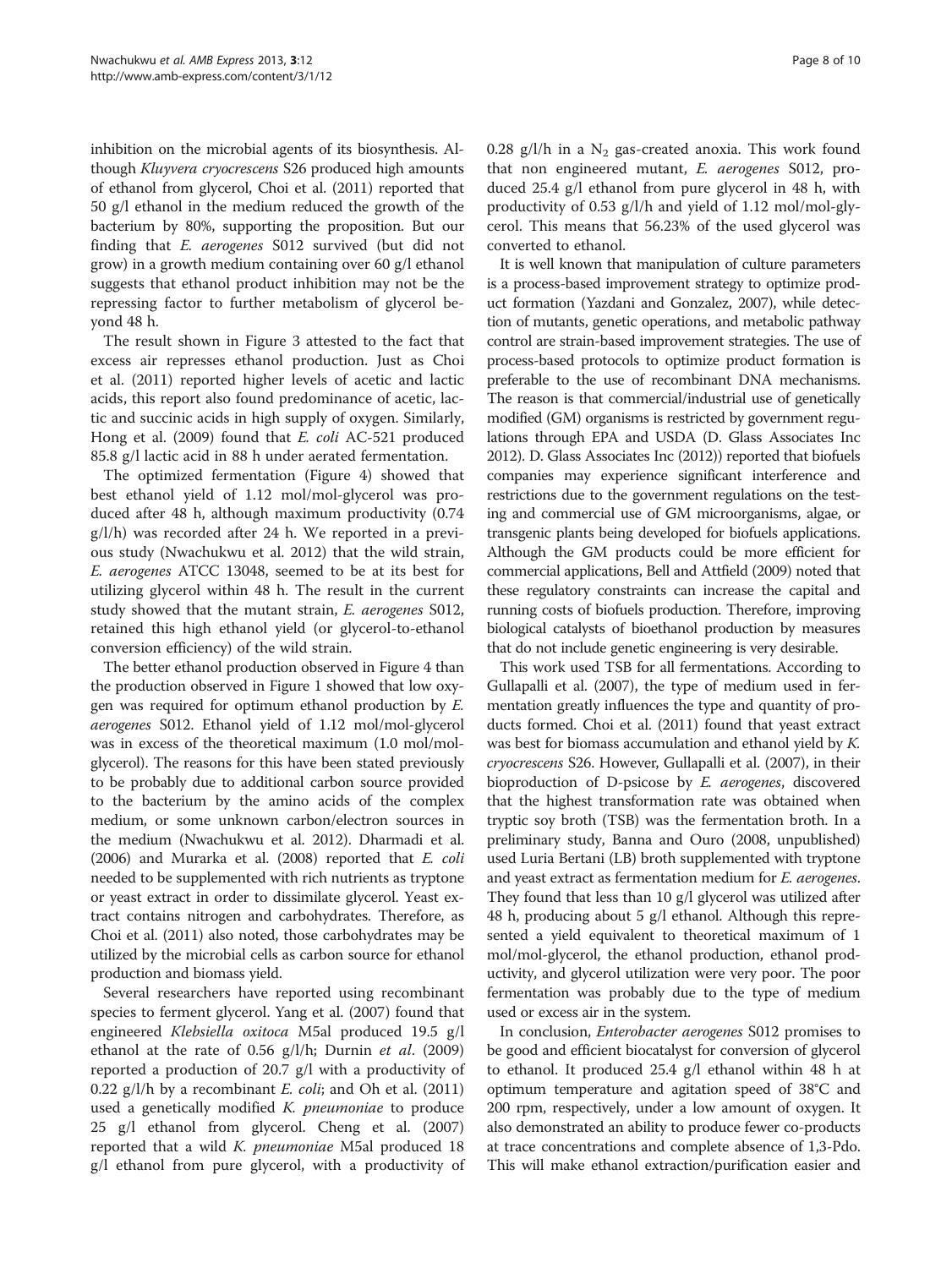inhibition on the microbial agents of its biosynthesis. Although Kluyvera cryocrescens S26 produced high amounts of ethanol from glycerol, Choi et al. [\(2011](#page-8-0)) reported that 50 g/l ethanol in the medium reduced the growth of the bacterium by 80%, supporting the proposition. But our finding that E. aerogenes S012 survived (but did not grow) in a growth medium containing over 60 g/l ethanol suggests that ethanol product inhibition may not be the repressing factor to further metabolism of glycerol beyond 48 h.

The result shown in Figure [3](#page-5-0) attested to the fact that excess air represses ethanol production. Just as Choi et al. [\(2011](#page-8-0)) reported higher levels of acetic and lactic acids, this report also found predominance of acetic, lactic and succinic acids in high supply of oxygen. Similarly, Hong et al. [\(2009](#page-8-0)) found that E. coli AC-521 produced 85.8 g/l lactic acid in 88 h under aerated fermentation.

The optimized fermentation (Figure [4\)](#page-5-0) showed that best ethanol yield of 1.12 mol/mol-glycerol was produced after 48 h, although maximum productivity (0.74 g/l/h) was recorded after 24 h. We reported in a previous study (Nwachukwu et al. [2012](#page-8-0)) that the wild strain, E. aerogenes ATCC 13048, seemed to be at its best for utilizing glycerol within 48 h. The result in the current study showed that the mutant strain, E. aerogenes S012, retained this high ethanol yield (or glycerol-to-ethanol conversion efficiency) of the wild strain.

The better ethanol production observed in Figure [4](#page-5-0) than the production observed in Figure [1](#page-4-0) showed that low oxygen was required for optimum ethanol production by E. aerogenes S012. Ethanol yield of 1.12 mol/mol-glycerol was in excess of the theoretical maximum (1.0 mol/molglycerol). The reasons for this have been stated previously to be probably due to additional carbon source provided to the bacterium by the amino acids of the complex medium, or some unknown carbon/electron sources in the medium (Nwachukwu et al. [2012\)](#page-8-0). Dharmadi et al. ([2006\)](#page-8-0) and Murarka et al. ([2008\)](#page-8-0) reported that E. coli needed to be supplemented with rich nutrients as tryptone or yeast extract in order to dissimilate glycerol. Yeast extract contains nitrogen and carbohydrates. Therefore, as Choi et al. [\(2011](#page-8-0)) also noted, those carbohydrates may be utilized by the microbial cells as carbon source for ethanol production and biomass yield.

Several researchers have reported using recombinant species to ferment glycerol. Yang et al. [\(2007](#page-9-0)) found that engineered Klebsiella oxitoca M5al produced 19.5 g/l ethanol at the rate of 0.56  $g/l/h$ ; Durnin *et al.* ([2009](#page-8-0)) reported a production of 20.7 g/l with a productivity of 0.22  $g/l/h$  by a recombinant *E. coli*; and Oh et al. ([2011](#page-8-0)) used a genetically modified *K. pneumoniae* to produce 25 g/l ethanol from glycerol. Cheng et al. ([2007](#page-8-0)) reported that a wild K. pneumoniae M5al produced 18 g/l ethanol from pure glycerol, with a productivity of 0.28 g/l/h in a  $N_2$  gas-created anoxia. This work found that non engineered mutant, E. aerogenes S012, produced 25.4 g/l ethanol from pure glycerol in 48 h, with productivity of 0.53 g/l/h and yield of 1.12 mol/mol-glycerol. This means that 56.23% of the used glycerol was converted to ethanol.

It is well known that manipulation of culture parameters is a process-based improvement strategy to optimize product formation (Yazdani and Gonzalez, [2007\)](#page-9-0), while detection of mutants, genetic operations, and metabolic pathway control are strain-based improvement strategies. The use of process-based protocols to optimize product formation is preferable to the use of recombinant DNA mechanisms. The reason is that commercial/industrial use of genetically modified (GM) organisms is restricted by government regulations through EPA and USDA (D. Glass Associates Inc [2012\)](#page-8-0). D. Glass Associates Inc [\(2012](#page-8-0))) reported that biofuels companies may experience significant interference and restrictions due to the government regulations on the testing and commercial use of GM microorganisms, algae, or transgenic plants being developed for biofuels applications. Although the GM products could be more efficient for commercial applications, Bell and Attfield ([2009\)](#page-8-0) noted that these regulatory constraints can increase the capital and running costs of biofuels production. Therefore, improving biological catalysts of bioethanol production by measures that do not include genetic engineering is very desirable.

This work used TSB for all fermentations. According to Gullapalli et al. ([2007\)](#page-8-0), the type of medium used in fermentation greatly influences the type and quantity of products formed. Choi et al. ([2011\)](#page-8-0) found that yeast extract was best for biomass accumulation and ethanol yield by K. cryocrescens S26. However, Gullapalli et al. ([2007\)](#page-8-0), in their bioproduction of D-psicose by E. aerogenes, discovered that the highest transformation rate was obtained when tryptic soy broth (TSB) was the fermentation broth. In a preliminary study, Banna and Ouro (2008, unpublished) used Luria Bertani (LB) broth supplemented with tryptone and yeast extract as fermentation medium for E. aerogenes. They found that less than 10 g/l glycerol was utilized after 48 h, producing about 5 g/l ethanol. Although this represented a yield equivalent to theoretical maximum of 1 mol/mol-glycerol, the ethanol production, ethanol productivity, and glycerol utilization were very poor. The poor fermentation was probably due to the type of medium used or excess air in the system.

In conclusion, Enterobacter aerogenes S012 promises to be good and efficient biocatalyst for conversion of glycerol to ethanol. It produced 25.4 g/l ethanol within 48 h at optimum temperature and agitation speed of 38°C and 200 rpm, respectively, under a low amount of oxygen. It also demonstrated an ability to produce fewer co-products at trace concentrations and complete absence of 1,3-Pdo. This will make ethanol extraction/purification easier and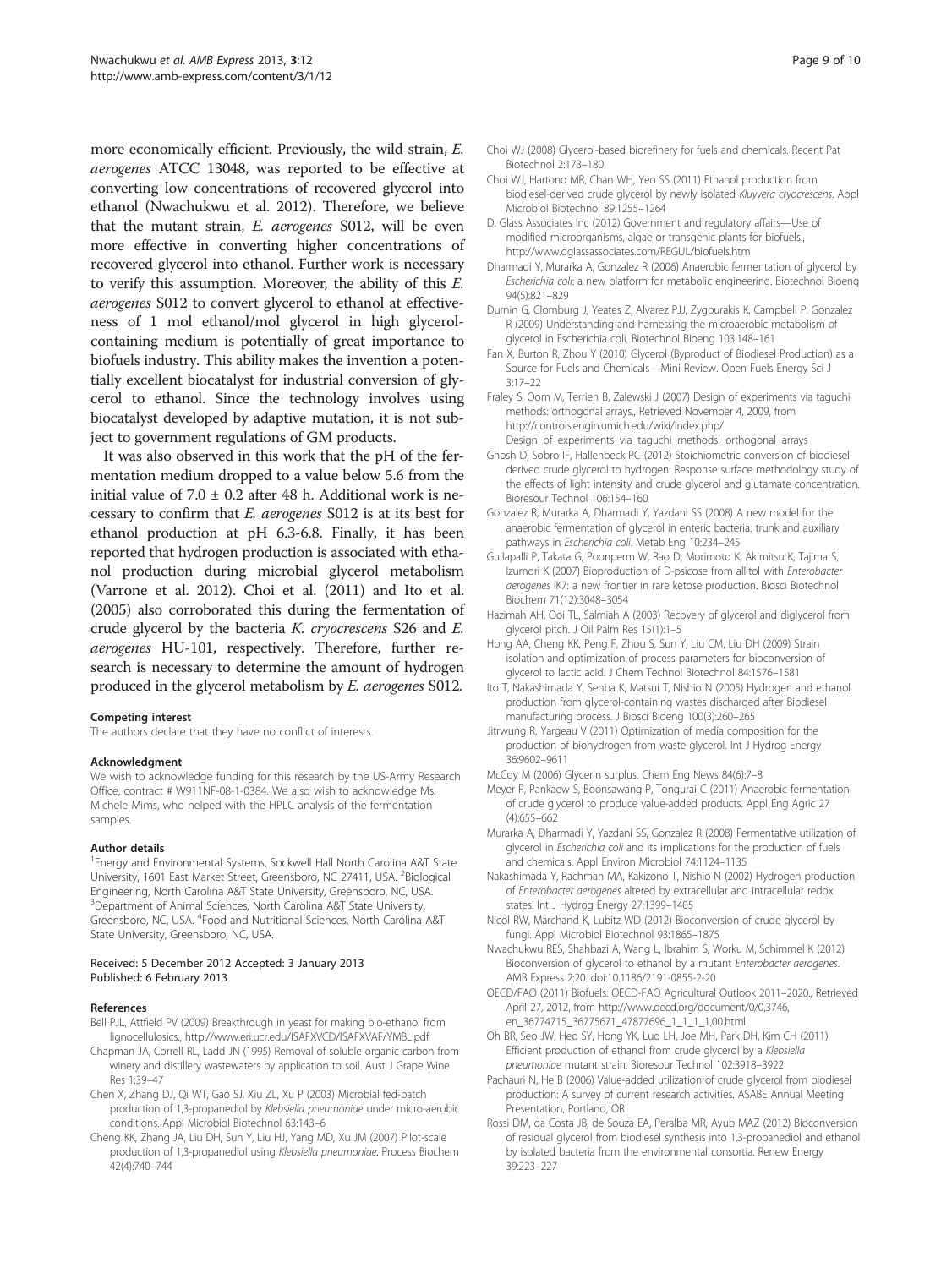<span id="page-8-0"></span>more economically efficient. Previously, the wild strain, E. aerogenes ATCC 13048, was reported to be effective at converting low concentrations of recovered glycerol into ethanol (Nwachukwu et al. 2012). Therefore, we believe that the mutant strain, E. aerogenes S012, will be even more effective in converting higher concentrations of recovered glycerol into ethanol. Further work is necessary to verify this assumption. Moreover, the ability of this E. aerogenes S012 to convert glycerol to ethanol at effectiveness of 1 mol ethanol/mol glycerol in high glycerolcontaining medium is potentially of great importance to biofuels industry. This ability makes the invention a potentially excellent biocatalyst for industrial conversion of glycerol to ethanol. Since the technology involves using biocatalyst developed by adaptive mutation, it is not subject to government regulations of GM products.

It was also observed in this work that the pH of the fermentation medium dropped to a value below 5.6 from the initial value of  $7.0 \pm 0.2$  after 48 h. Additional work is necessary to confirm that E. aerogenes S012 is at its best for ethanol production at pH 6.3-6.8. Finally, it has been reported that hydrogen production is associated with ethanol production during microbial glycerol metabolism (Varrone et al. [2012](#page-9-0)). Choi et al. (2011) and Ito et al. (2005) also corroborated this during the fermentation of crude glycerol by the bacteria K. cryocrescens S26 and E. aerogenes HU-101, respectively. Therefore, further research is necessary to determine the amount of hydrogen produced in the glycerol metabolism by E. aerogenes S012.

#### Competing interest

The authors declare that they have no conflict of interests.

#### Acknowledgment

We wish to acknowledge funding for this research by the US-Army Research Office, contract # W911NF-08-1-0384. We also wish to acknowledge Ms. Michele Mims, who helped with the HPLC analysis of the fermentation samples.

#### Author details

<sup>1</sup> Energy and Environmental Systems, Sockwell Hall North Carolina A&T State University, 1601 East Market Street, Greensboro, NC 27411, USA. <sup>2</sup>Biological Engineering, North Carolina A&T State University, Greensboro, NC, USA. <sup>3</sup>Department of Animal Sciences, North Carolina A&T State University, Greensboro, NC, USA. <sup>4</sup>Food and Nutritional Sciences, North Carolina A&T State University, Greensboro, NC, USA.

#### Received: 5 December 2012 Accepted: 3 January 2013 Published: 6 February 2013

#### References

- Bell PJL, Attfield PV (2009) Breakthrough in yeast for making bio-ethanol from lignocellulosics.,<http://www.eri.ucr.edu/ISAFXVCD/ISAFXVAF/YMBL.pdf>
- Chapman JA, Correll RL, Ladd JN (1995) Removal of soluble organic carbon from winery and distillery wastewaters by application to soil. Aust J Grape Wine Res 1:39–47
- Chen X, Zhang DJ, Qi WT, Gao SJ, Xiu ZL, Xu P (2003) Microbial fed-batch production of 1,3-propanediol by Klebsiella pneumoniae under micro-aerobic conditions. Appl Microbiol Biotechnol 63:143–6
- Cheng KK, Zhang JA, Liu DH, Sun Y, Liu HJ, Yang MD, Xu JM (2007) Pilot-scale production of 1,3-propanediol using Klebsiella pneumoniae. Process Biochem 42(4):740–744
- Choi WJ (2008) Glycerol-based biorefinery for fuels and chemicals. Recent Pat Biotechnol 2:173–180
- Choi WJ, Hartono MR, Chan WH, Yeo SS (2011) Ethanol production from biodiesel-derived crude glycerol by newly isolated Kluyvera cryocrescens. Appl Microbiol Biotechnol 89:1255–1264
- D. Glass Associates Inc (2012) Government and regulatory affairs—Use of modified microorganisms, algae or transgenic plants for biofuels. <http://www.dglassassociates.com/REGUL/biofuels.htm>
- Dharmadi Y, Murarka A, Gonzalez R (2006) Anaerobic fermentation of glycerol by Escherichia coli: a new platform for metabolic engineering. Biotechnol Bioeng 94(5):821–829
- Durnin G, Clomburg J, Yeates Z, Alvarez PJJ, Zygourakis K, Campbell P, Gonzalez R (2009) Understanding and harnessing the microaerobic metabolism of glycerol in Escherichia coli. Biotechnol Bioeng 103:148–161
- Fan X, Burton R, Zhou Y (2010) Glycerol (Byproduct of Biodiesel Production) as a Source for Fuels and Chemicals—Mini Review. Open Fuels Energy Sci J 3:17–22
- Fraley S, Oom M, Terrien B, Zalewski J (2007) Design of experiments via taguchi methods: orthogonal arrays., Retrieved November 4, 2009, from [http://controls.engin.umich.edu/wiki/index.php/](http://controls.engin.umich.edu/wiki/index.php/Design_of_experiments_via_taguchi_methods:_orthogonal_arrays)
	- [Design\\_of\\_experiments\\_via\\_taguchi\\_methods:\\_orthogonal\\_arrays](http://controls.engin.umich.edu/wiki/index.php/Design_of_experiments_via_taguchi_methods:_orthogonal_arrays)
- Ghosh D, Sobro IF, Hallenbeck PC (2012) Stoichiometric conversion of biodiesel derived crude glycerol to hydrogen: Response surface methodology study of the effects of light intensity and crude glycerol and glutamate concentration. Bioresour Technol 106:154–160
- Gonzalez R, Murarka A, Dharmadi Y, Yazdani SS (2008) A new model for the anaerobic fermentation of glycerol in enteric bacteria: trunk and auxiliary pathways in Escherichia coli. Metab Eng 10:234–<sup>245</sup>
- Gullapalli P, Takata G, Poonperm W, Rao D, Morimoto K, Akimitsu K, Tajima S, Izumori K (2007) Bioproduction of D-psicose from allitol with Enterobacter aerogenes IK7: a new frontier in rare ketose production. Biosci Biotechnol Biochem 71(12):3048–3054
- Hazimah AH, Ooi TL, Salmiah A (2003) Recovery of glycerol and diglycerol from glycerol pitch. J Oil Palm Res 15(1):1–5
- Hong AA, Cheng KK, Peng F, Zhou S, Sun Y, Liu CM, Liu DH (2009) Strain isolation and optimization of process parameters for bioconversion of glycerol to lactic acid. J Chem Technol Biotechnol 84:1576–1581
- Ito T, Nakashimada Y, Senba K, Matsui T, Nishio N (2005) Hydrogen and ethanol production from glycerol-containing wastes discharged after Biodiesel manufacturing process. J Biosci Bioeng 100(3):260–265
- Jitrwung R, Yargeau V (2011) Optimization of media composition for the production of biohydrogen from waste glycerol. Int J Hydrog Energy 36:9602–9611
- McCoy M (2006) Glycerin surplus. Chem Eng News 84(6):7–8
- Meyer P, Pankaew S, Boonsawang P, Tongurai C (2011) Anaerobic fermentation of crude glycerol to produce value-added products. Appl Eng Agric 27 (4):655–662
- Murarka A, Dharmadi Y, Yazdani SS, Gonzalez R (2008) Fermentative utilization of glycerol in Escherichia coli and its implications for the production of fuels and chemicals. Appl Environ Microbiol 74:1124–1135
- Nakashimada Y, Rachman MA, Kakizono T, Nishio N (2002) Hydrogen production of Enterobacter aerogenes altered by extracellular and intracellular redox states. Int J Hydrog Energy 27:1399–1405
- Nicol RW, Marchand K, Lubitz WD (2012) Bioconversion of crude glycerol by fungi. Appl Microbiol Biotechnol 93:1865–1875
- Nwachukwu RES, Shahbazi A, Wang L, Ibrahim S, Worku M, Schimmel K (2012) Bioconversion of glycerol to ethanol by a mutant Enterobacter aerogenes. AMB Express 2:20. doi[:10.1186/2191-0855-2-20](http://dx.doi.org/10.1186/2191-0855-2-20)
- OECD/FAO (2011) Biofuels. OECD-FAO Agricultural Outlook 2011–2020., Retrieved April 27, 2012, from [http://www.oecd.org/document/0/0,3746,](http://www.oecd.org/document/0/0,3746,en_36774715_36775671_47877696_1_1_1_1,00.html) [en\\_36774715\\_36775671\\_47877696\\_1\\_1\\_1\\_1,00.html](http://www.oecd.org/document/0/0,3746,en_36774715_36775671_47877696_1_1_1_1,00.html)
- Oh BR, Seo JW, Heo SY, Hong YK, Luo LH, Joe MH, Park DH, Kim CH (2011) Efficient production of ethanol from crude glycerol by a Klebsiella pneumoniae mutant strain. Bioresour Technol 102:3918–<sup>3922</sup>
- Pachauri N, He B (2006) Value-added utilization of crude glycerol from biodiesel production: A survey of current research activities. ASABE Annual Meeting Presentation, Portland, OR
- Rossi DM, da Costa JB, de Souza EA, Peralba MR, Ayub MAZ (2012) Bioconversion of residual glycerol from biodiesel synthesis into 1,3-propanediol and ethanol by isolated bacteria from the environmental consortia. Renew Energy 39:223–227